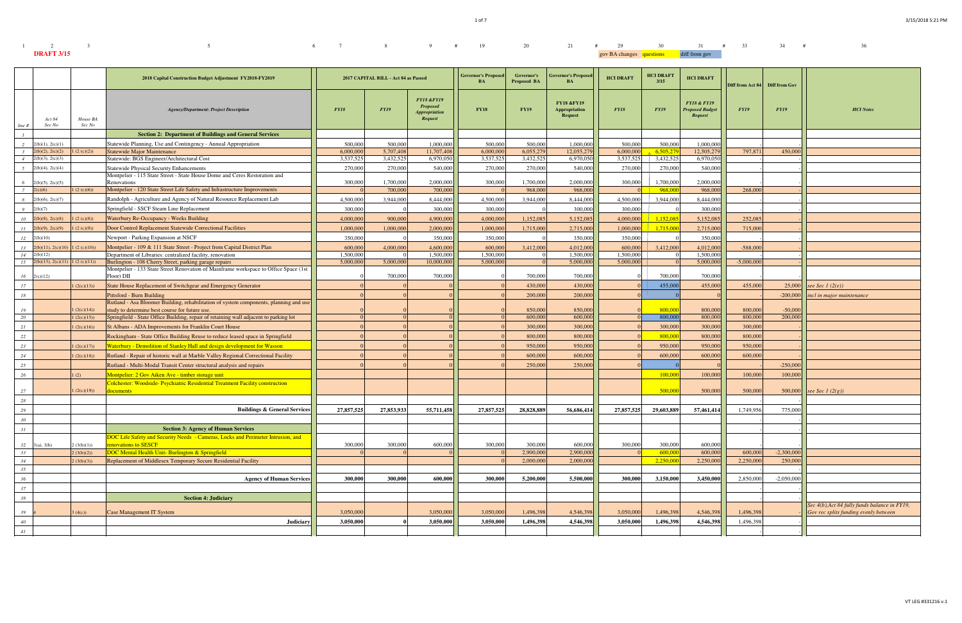1 of 7

| $1 \qquad \qquad 2 \qquad \qquad 3$ | 5 6 7 8 9 # 19 20 21 # 29 30 31 # 33 34 # |  |  |  |  |  |                                        |  |  | 36 |
|-------------------------------------|-------------------------------------------|--|--|--|--|--|----------------------------------------|--|--|----|
| <b>DRAFT 3/15</b>                   |                                           |  |  |  |  |  | gov BA changes questions diff from gov |  |  |    |

|                 |                       |                    | 2018 Capital Construction Budget Adjustment FY2018-FY2019                                                                                      |            | 2017 CAPITAL BILL - Act 84 as Passed |                                                                                    | <b>Governor's Proposed</b><br><b>BA</b> | Governor's<br><b>Proposed BA</b> | <b>Governor's Proposed</b><br><b>BA</b>                         | <b>HCI DRAFT</b> | <b>HCI DRAFT</b><br>3/15 | <b>HCI DRAFT</b>                                            | Diff from Act 84 Diff from Gov |              |                                                                                        |
|-----------------|-----------------------|--------------------|------------------------------------------------------------------------------------------------------------------------------------------------|------------|--------------------------------------|------------------------------------------------------------------------------------|-----------------------------------------|----------------------------------|-----------------------------------------------------------------|------------------|--------------------------|-------------------------------------------------------------|--------------------------------|--------------|----------------------------------------------------------------------------------------|
| line #          | Act 84<br>Sec No      | House BA<br>Sec No | <b>Agency/Department: Project Description</b>                                                                                                  | FY18       | <b>FY19</b>                          | <b>FY18 &amp;FY19</b><br><b>Proposed</b><br><i><b>Appropriation</b></i><br>Request | <b>FY18</b>                             | <b>FY19</b>                      | <b>FY18 &amp;FY19</b><br><b>Appropriation</b><br><b>Request</b> | <b>FY18</b>      | <b>FY19</b>              | <b>FY18 &amp; FY19</b><br><b>Proposed Budget</b><br>Request | <b>FY19</b>                    | FY19         | <b>HCI</b> Notes                                                                       |
|                 |                       |                    | <b>Section 2: Department of Buildings and General Services</b>                                                                                 |            |                                      |                                                                                    |                                         |                                  |                                                                 |                  |                          |                                                             |                                |              |                                                                                        |
|                 | 2(b)(1), 2(c)(1)      |                    | Statewide Planning, Use and Contingency - Annual Appropriation                                                                                 | 500.000    | 500,000                              | 1,000,000                                                                          | 500,000                                 | 500,000                          | 1.000.000                                                       | 500,000          | 500,000                  | 1,000,000                                                   |                                |              |                                                                                        |
| $\overline{3}$  | 2(b)(2), 2(c)(2)      | (2 (c)(2))         | <b>Statewide Major Maintenance</b>                                                                                                             | 6,000,000  | 5,707,408                            | 11,707,408                                                                         | 6,000,000                               | 6,055,279                        | 12,055,279                                                      | 6,000,000        | 6,505,27                 | 12,505,279                                                  | 797,871                        | 450,000      |                                                                                        |
|                 | 2(b)(3), 2(c)(3)      |                    | Statewide: BGS Engineer/Architectural Cost                                                                                                     | 3,537,525  | 3,432,525                            | 6,970,050                                                                          | 3,537,525                               | 3,432,525                        | 6,970,050                                                       | 3,537,525        | 3,432,525                | 6,970,050                                                   |                                |              |                                                                                        |
|                 | $2(b)(4)$ , $2(c)(4)$ |                    | <b>Statewide Physical Security Enhancements</b><br>Montpelier - 115 State Street - State House Dome and Ceres Restoration and                  | 270,000    | 270,000                              | 540,000                                                                            | 270,000                                 | 270,000                          | 540,000                                                         | 270,000          | 270,000                  | 540,000                                                     |                                |              |                                                                                        |
|                 | 2(b)(5), 2(c)(5)      |                    | Renovations                                                                                                                                    | 300,000    | 1,700,000                            | 2,000,000                                                                          | 300,000                                 | 1,700,000                        | 2,000,000                                                       | 300,000          | 1,700,000                | 2,000,000                                                   |                                |              |                                                                                        |
|                 | l(c)(6)               | (2 (c)(6))         | Montpelier - 120 State Street Life Safety and Infrastructure Improvements                                                                      |            | 700,000                              | 700,000                                                                            |                                         | 968,000                          | 968,000                                                         |                  | 968,00                   | 968,000                                                     | 268,000                        |              |                                                                                        |
| $\overline{R}$  | 2(b)(6), 2(c)(7)      |                    | Randolph - Agriculture and Agency of Natural Resource Replacement Lab                                                                          | 4.500.000  | 3,944,000                            | 8,444,000                                                                          | 4.500,000                               | 3.944,000                        | 8,444,000                                                       | 4,500,000        | 3.944,000                | 8,444,000                                                   |                                |              |                                                                                        |
| $\overline{9}$  | 2(b)(7)               |                    | Springfield - SSCF Steam Line Replacement                                                                                                      | 300,000    |                                      | 300,000                                                                            | 300,000                                 |                                  | 300,000                                                         | 300,000          |                          | 300,000                                                     |                                |              |                                                                                        |
| 10 <sup>°</sup> | (l(b)(8), 2(c)(8))    | (2 (c)(8))         | Waterbury Re-Occupancy - Weeks Building                                                                                                        | 4,000,000  | 900,000                              | 4,900,000                                                                          | 4,000,000                               | 1,152,085                        | 5,152,085                                                       | 4,000,000        | 1,152,08                 | 5,152,085                                                   | 252,085                        |              |                                                                                        |
| II              | (b)(9), 2(c)(9)       | (2 (c)(9))         | Door Control Replacement Statewide Correctional Facilities                                                                                     | 1.000.000  | 1,000,000                            | 2,000,000                                                                          | 1,000,000                               | 1,715,000                        | 2,715,000                                                       | 1,000,000        | 1,715,00                 | 2,715,00                                                    | 715,000                        |              |                                                                                        |
| 12              | 2(b)(10)              |                    | Newport - Parking Expansion at NSCF                                                                                                            | 350,000    |                                      | 350,000                                                                            | 350,000                                 |                                  | 350,000                                                         | 350,000          |                          | 350,000                                                     |                                |              |                                                                                        |
| 13              | 2(b)(11), 2(c)(10)    | (2 (c)(10))        | Montpelier - 109 & 111 State Street - Project from Capital District Plan                                                                       | 600,000    | 4,000,000                            | 4,600,000                                                                          | 600,000                                 | 3,412,000                        | 4,012,000                                                       | 600,000          | 3,412,000                | 4,012,000                                                   | $-588,000$                     |              |                                                                                        |
| 14              | 2(b)(12)              |                    | Department of Libraries: centralized facility, renovation                                                                                      | 1.500,000  |                                      | 1,500,000                                                                          | 1,500,000                               |                                  | 1.500,000                                                       | 1.500.000        |                          | 1.500,000                                                   |                                |              |                                                                                        |
| 15              | 2(b)(13), 2(c)(11)    | (2 (c)(11))        | Burlington - 108 Cherry Street, parking garage repairs<br>Montpelier - 133 State Street Renovation of Mainframe workspace to Office Space (1st | 5,000,000  | 5,000,000                            | 10,000,000                                                                         | 5,000,000                               |                                  | 5,000,000                                                       | 5.000,000        |                          | 5,000,000                                                   | $-5,000,000$                   |              |                                                                                        |
| 16              | 2(c)(12)              |                    | Floor) DII                                                                                                                                     |            | 700,000                              | 700,000                                                                            |                                         | 700,000                          | 700,000                                                         |                  | 700,000                  | 700,000                                                     |                                |              |                                                                                        |
| 17              |                       | (2(c)(13))         | State House Replacement of Switchgear and Emergency Generator                                                                                  |            |                                      |                                                                                    |                                         | 430,000                          | 430,000                                                         |                  | 455,000                  | 455,000                                                     | 455,000                        | 25,000       | see Sec 1 $(2(e))$                                                                     |
| 18              |                       |                    | <b>Pittsford - Burn Building</b>                                                                                                               |            |                                      |                                                                                    |                                         | 200,000                          | 200,000                                                         |                  |                          |                                                             |                                | $-200,000$   | incl in major maintenance                                                              |
|                 |                       |                    | Rutland - Asa Bloomer Building, rehabilitation of system components, planning and use                                                          |            |                                      |                                                                                    |                                         |                                  |                                                                 |                  |                          |                                                             |                                |              |                                                                                        |
| 19              |                       | (2(c)(14))         | study to determine best course for future use.                                                                                                 |            |                                      |                                                                                    |                                         | 850,000                          | 850,000                                                         |                  | 800,00                   | 800,000                                                     | 800,000                        | $-50,000$    |                                                                                        |
| 20              |                       | (2(c)(15))         | Springfield - State Office Building, repair of retaining wall adjacent to parking lot                                                          |            |                                      |                                                                                    |                                         | 600,000                          | 600,000                                                         |                  | 800,000                  | 800,000                                                     | 800,000                        | 200,000      |                                                                                        |
| 21              |                       | (2(c)(16))         | St Albans - ADA Improvements for Franklin Court House                                                                                          |            |                                      |                                                                                    |                                         | 300,000                          | 300,000                                                         |                  | 300,000                  | 300,000                                                     | 300,000                        |              |                                                                                        |
| 22              |                       |                    | Rockingham - State Office Building Reuse to reduce leased space in Springfield                                                                 |            |                                      |                                                                                    |                                         | 800,000                          | 800,000                                                         |                  | 800,00                   | 800,000                                                     | 800,000                        |              |                                                                                        |
| 23              |                       | (2(c)(17))         | Waterbury - Demolition of Stanley Hall and design development for Wasson                                                                       |            |                                      |                                                                                    |                                         | 950,000                          | 950,000                                                         |                  | 950,000                  | 950,000                                                     | 950,000                        |              |                                                                                        |
| 24              |                       | (2(c)(18))         | Rutland - Repair of historic wall at Marble Valley Regional Correctional Facility                                                              |            |                                      |                                                                                    |                                         | 600,000                          | 600,000                                                         |                  | 600,000                  | 600,000                                                     | 600,000                        |              |                                                                                        |
| 25              |                       |                    | Rutland - Multi-Modal Transit Center structural analysis and repairs                                                                           |            |                                      |                                                                                    |                                         | 250,000                          | 250,000                                                         |                  |                          |                                                             |                                | $-250,000$   |                                                                                        |
| 26              |                       | (2)                | Montpelier: 2 Gov Aiken Ave - timber storage unit                                                                                              |            |                                      |                                                                                    |                                         |                                  |                                                                 |                  | 100.00                   | 100,000                                                     | 100,000                        | 100,000      |                                                                                        |
| 27              |                       | (2(c)(19))         | Colchester: Woodside- Psychiatric Residential Treatment Facility construction<br>locuments                                                     |            |                                      |                                                                                    |                                         |                                  |                                                                 |                  | 500,00                   | 500,000                                                     | 500,000                        | 500,000      | see Sec 1 $(2(g))$                                                                     |
| 28              |                       |                    |                                                                                                                                                |            |                                      |                                                                                    |                                         |                                  |                                                                 |                  |                          |                                                             |                                |              |                                                                                        |
| 29              |                       |                    | <b>Buildings &amp; General Services</b>                                                                                                        | 27,857,525 | 27,853,933                           | 55,711,458                                                                         | 27,857,525                              | 28,828,889                       | 56,686,414                                                      | 27,857,525       | 29,603,889               | 57,461,414                                                  | 1,749,956                      | 775,000      |                                                                                        |
|                 |                       |                    |                                                                                                                                                |            |                                      |                                                                                    |                                         |                                  |                                                                 |                  |                          |                                                             |                                |              |                                                                                        |
| 30<br>31        |                       |                    | <b>Section 3: Agency of Human Services</b>                                                                                                     |            |                                      |                                                                                    |                                         |                                  |                                                                 |                  |                          |                                                             |                                |              |                                                                                        |
|                 |                       |                    | DOC Life Safety and Security Needs - Cameras, Locks and Perimeter Intrusion, and                                                               |            |                                      |                                                                                    |                                         |                                  |                                                                 |                  |                          |                                                             |                                |              |                                                                                        |
|                 | $32 \quad 3(a), 3(b)$ | (3(b)(1))          | <b>renovations to SESCF</b>                                                                                                                    | 300,000    | 300,000                              | 600,000                                                                            | 300,000                                 | 300,000                          | 600,000                                                         | 300,000          | 300,000                  | 600,000                                                     |                                |              |                                                                                        |
| 33              |                       | (3(b)(2))          | DOC Mental Health Unit-Burlington & Springfield                                                                                                |            |                                      |                                                                                    |                                         | 2,900,000                        | 2,900,000                                                       |                  | 600,00                   | 600,000                                                     | 600,000                        | $-2,300,000$ |                                                                                        |
| 34              |                       | (3(b)(3))          | Replacement of Middlesex Temporary Secure Residential Facility                                                                                 |            |                                      |                                                                                    |                                         | 2,000,000                        | 2,000,000                                                       |                  | 2,250,000                | 2,250,000                                                   | 2,250,000                      | 250,000      |                                                                                        |
| 35              |                       |                    |                                                                                                                                                |            |                                      |                                                                                    |                                         |                                  |                                                                 |                  |                          |                                                             |                                |              |                                                                                        |
| 36              |                       |                    | <b>Agency of Human Services</b>                                                                                                                | 300,000    | 300,000                              | 600,000                                                                            | 300,000                                 | 5,200,000                        | 5,500,000                                                       | 300,000          | 3,150,000                | 3,450,000                                                   | 2,850,000                      | $-2,050,000$ |                                                                                        |
| 37              |                       |                    |                                                                                                                                                |            |                                      |                                                                                    |                                         |                                  |                                                                 |                  |                          |                                                             |                                |              |                                                                                        |
| 38              |                       |                    | <b>Section 4: Judiciary</b>                                                                                                                    |            |                                      |                                                                                    |                                         |                                  |                                                                 |                  |                          |                                                             |                                |              |                                                                                        |
| 39              |                       | (4(c))             | Case Management IT System                                                                                                                      | 3,050,000  |                                      | 3,050,000                                                                          | 3,050,000                               | 1,496,398                        | 4,546,398                                                       | 3,050,000        | 1,496,398                | 4,546,398                                                   | 1,496,398                      |              | Sec 4(b), Act 84 fully funds balance in FY19,<br>Gov rec splits funding evenly between |
| $40\,$          |                       |                    | Judiciary                                                                                                                                      | 3,050,000  |                                      | 3,050,000                                                                          | 3,050,000                               | 1,496,398                        | 4,546,398                                                       | 3,050,000        | 1,496,398                | 4,546,398                                                   | 1,496,398                      |              |                                                                                        |
| 41              |                       |                    |                                                                                                                                                |            |                                      |                                                                                    |                                         |                                  |                                                                 |                  |                          |                                                             |                                |              |                                                                                        |
|                 |                       |                    |                                                                                                                                                |            |                                      |                                                                                    |                                         |                                  |                                                                 |                  |                          |                                                             |                                |              |                                                                                        |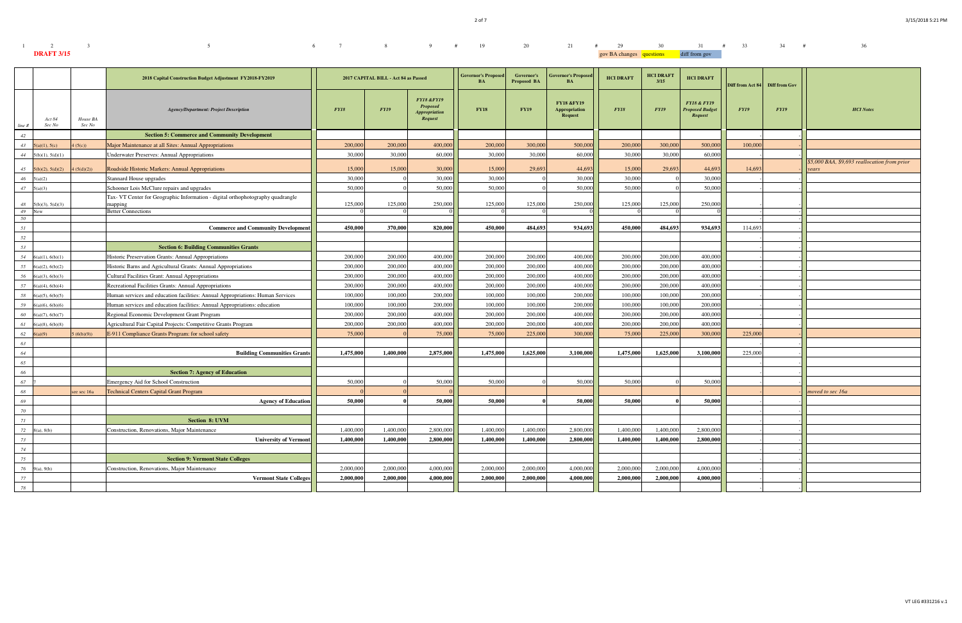| $1 \qquad \qquad 2 \qquad \qquad 3$ | $5$ 6 7 8 9 # 19 20 21 # 29 30 31 # 33 34 # |  |  |  |  |  |                                        |  |  | 36 |  |
|-------------------------------------|---------------------------------------------|--|--|--|--|--|----------------------------------------|--|--|----|--|
| <b>DRAFT 3/15</b>                   |                                             |  |  |  |  |  | gov BA changes questions diff from gov |  |  |    |  |

|                                                  | 2018 Capital Construction Budget Adjustment FY2018-FY2019                                  |           | 2017 CAPITAL BILL - Act 84 as Passed |                                                                                           | <b>Governor's Proposed</b><br>BA | Governor's<br>Proposed BA | <b>Governor's Proposed</b><br><b>BA</b>                         | <b>HCI DRAFT</b> | <b>HCI DRAFT</b><br>3/15 | <b>HCI DRAFT</b>                                                   | Diff from Act 84 Diff from Gov |             |                                                       |
|--------------------------------------------------|--------------------------------------------------------------------------------------------|-----------|--------------------------------------|-------------------------------------------------------------------------------------------|----------------------------------|---------------------------|-----------------------------------------------------------------|------------------|--------------------------|--------------------------------------------------------------------|--------------------------------|-------------|-------------------------------------------------------|
| Act 84<br>House BA<br>Sec No<br>Sec No<br>line # | <b>Agency/Department: Project Description</b>                                              | FY18      | <b>FY19</b>                          | <b>FY18 &amp;FY19</b><br><b>Proposed</b><br><i><b>Appropriation</b></i><br><b>Request</b> | <b>FY18</b>                      | <b>FY19</b>               | <b>FY18 &amp;FY19</b><br><b>Appropriation</b><br><b>Request</b> | <b>FY18</b>      | <b>FY19</b>              | <b>FY18 &amp; FY19</b><br><b>Proposed Budget</b><br><b>Request</b> | FY19                           | <b>FY19</b> | <b>HCI</b> Notes                                      |
| 42                                               | <b>Section 5: Commerce and Community Development</b>                                       |           |                                      |                                                                                           |                                  |                           |                                                                 |                  |                          |                                                                    |                                |             |                                                       |
| 43<br>5(a)(1), 5(c)<br>(5(c))                    | Major Maintenance at all Sites: Annual Appropriations                                      | 200,000   | 200,000                              | 400,000                                                                                   | 200,000                          | 300,000                   | 500,000                                                         | 200,000          | 300,000                  | 500,000                                                            | 100,000                        |             |                                                       |
| 44 $5(b)(1), 5(d)(1)$                            | <b>Underwater Preserves: Annual Appropriations</b>                                         | 30,000    | 30,000                               | 60,000                                                                                    | 30,000                           | 30,000                    | 60,000                                                          | 30,000           | 30,000                   | 60,000                                                             |                                |             |                                                       |
| 45<br>5(b)(2), 5(d)(2)<br>4(5(d)(2))             | Roadside Historic Markers: Annual Appropriations                                           | 15,000    | 15,000                               | 30,000                                                                                    | 15,000                           | 29,693                    | 44,693                                                          | 15,000           | 29,693                   | 44,693                                                             | 14,693                         |             | \$5,000 BAA, \$9,693 reallocation from prior<br>years |
| $46\,$<br>5(a)(2)                                | Stannard House upgrades                                                                    | 30,000    |                                      | 30,000                                                                                    | 30,000                           |                           | 30,000                                                          | 30,000           |                          | 30,000                                                             |                                |             |                                                       |
| $47 \quad 5(a)(3)$                               | Schooner Lois McClure repairs and upgrades                                                 | 50,000    |                                      | 50,000                                                                                    | 50,000                           |                           | 50,000                                                          | 50,000           |                          | 50,000                                                             |                                |             |                                                       |
| 48<br>5(b)(3), 5(d)(3)                           | Tax- VT Center for Geographic Information - digital orthophotography quadrangle<br>mapping | 125,000   | 125,000                              | 250,000                                                                                   | 125,000                          | 125,000                   | 250,000                                                         | 125,000          | 125,000                  | 250,000                                                            |                                |             |                                                       |
| 49<br><b>New</b><br>50                           | <b>Better Connections</b>                                                                  |           |                                      |                                                                                           |                                  |                           |                                                                 |                  |                          |                                                                    |                                |             |                                                       |
| 51                                               | <b>Commerce and Community Development</b>                                                  | 450,000   | 370,000                              | 820,000                                                                                   | 450,000                          | 484,693                   | 934,693                                                         | 450,000          | 484,693                  | 934,693                                                            | 114,693                        |             |                                                       |
| 52                                               |                                                                                            |           |                                      |                                                                                           |                                  |                           |                                                                 |                  |                          |                                                                    |                                |             |                                                       |
| 53                                               | <b>Section 6: Building Communities Grants</b>                                              |           |                                      |                                                                                           |                                  |                           |                                                                 |                  |                          |                                                                    |                                |             |                                                       |
| 54<br>6(a)(1), 6(b)(1)                           | Historic Preservation Grants: Annual Appropriations                                        | 200,000   | 200,000                              | 400,000                                                                                   | 200,000                          | 200,000                   | 400,000                                                         | 200,000          | 200,000                  | 400,000                                                            |                                |             |                                                       |
| 55<br>6(a)(2), 6(b)(2)                           | Historic Barns and Agricultural Grants: Annual Appropriations                              | 200,000   | 200,000                              | 400,000                                                                                   | 200,000                          | 200,000                   | 400,000                                                         | 200,000          | 200,000                  | 400,000                                                            |                                |             |                                                       |
| 56<br>6(a)(3), 6(b)(3)                           | Cultural Facilities Grant: Annual Appropriations                                           | 200,000   | 200,000                              | 400,000                                                                                   | 200,000                          | 200,000                   | 400,000                                                         | 200,000          | 200,000                  | 400,000                                                            |                                |             |                                                       |
| 57<br>$6(a)(4)$ , $6(b)(4)$                      | Recreational Facilities Grants: Annual Appropriations                                      | 200,000   | 200,000                              | 400,000                                                                                   | 200,000                          | 200,000                   | 400,000                                                         | 200,000          | 200,000                  | 400,000                                                            |                                |             |                                                       |
| 58<br>6(a)(5), 6(b)(5)                           | Human services and education facilities: Annual Appropriations: Human Services             | 100,000   | 100,000                              | 200,000                                                                                   | 100,000                          | 100,000                   | 200,000                                                         | 100,000          | 100,000                  | 200,000                                                            |                                |             |                                                       |
| 59<br>$6(a)(6)$ , $6(b)(6)$                      | Human services and education facilities: Annual Appropriations: education                  | 100,000   | 100,000                              | 200,000                                                                                   | 100,000                          | 100,000                   | 200,000                                                         | 100,000          | 100,000                  | 200,000                                                            |                                |             |                                                       |
| 60<br>6(a)(7), 6(b)(7)                           | Regional Economic Development Grant Program                                                | 200,000   | 200,000                              | 400,000                                                                                   | 200,000                          | 200,000                   | 400,000                                                         | 200,000          | 200,000                  | 400,000                                                            |                                |             |                                                       |
| 61<br>$6(a)(8)$ , $6(b)(8)$                      | Agricultural Fair Capital Projects: Competitive Grants Program                             | 200,000   | 200,000                              | 400,000                                                                                   | 200,000                          | 200,000                   | 400,000                                                         | 200,000          | 200,000                  | 400,000                                                            |                                |             |                                                       |
| 62 $6(a)(9)$<br>(6(b)(9))                        | E-911 Compliance Grants Program: for school safety                                         | 75,000    |                                      | 75,000                                                                                    | 75,000                           | 225,000                   | 300,000                                                         | 75,00            | 225,000                  | 300,000                                                            | 225,00                         |             |                                                       |
| 63                                               |                                                                                            |           |                                      |                                                                                           |                                  |                           |                                                                 |                  |                          |                                                                    |                                |             |                                                       |
| 64                                               | <b>Building Communities Grants</b>                                                         | 1,475,000 | 1,400,000                            | 2,875,000                                                                                 | 1,475,000                        | 1,625,000                 | 3,100,000                                                       | 1,475,000        | 1,625,000                | 3,100,000                                                          | 225,000                        |             |                                                       |
| 65                                               |                                                                                            |           |                                      |                                                                                           |                                  |                           |                                                                 |                  |                          |                                                                    |                                |             |                                                       |
| 66                                               | <b>Section 7: Agency of Education</b>                                                      |           |                                      |                                                                                           |                                  |                           |                                                                 |                  |                          |                                                                    |                                |             |                                                       |
| 67                                               | <b>Emergency Aid for School Construction</b>                                               | 50,000    |                                      | 50,000                                                                                    | 50,000                           |                           | 50,000                                                          | 50,000           |                          | 50,000                                                             |                                |             |                                                       |
| 68<br>see sec 16a                                | <b>Technical Centers Capital Grant Program</b>                                             |           |                                      |                                                                                           |                                  |                           |                                                                 |                  |                          |                                                                    |                                |             | moved to sec 16a                                      |
| 69                                               | <b>Agency of Education</b>                                                                 | 50,000    |                                      | 50,000                                                                                    | 50,000                           |                           | 50,000                                                          | 50,000           |                          | 50,000                                                             |                                |             |                                                       |
| 70                                               |                                                                                            |           |                                      |                                                                                           |                                  |                           |                                                                 |                  |                          |                                                                    |                                |             |                                                       |
| 71                                               | <b>Section 8: UVM</b>                                                                      |           |                                      |                                                                                           |                                  |                           |                                                                 |                  |                          |                                                                    |                                |             |                                                       |
| 72 $8(a)$ , $8(b)$                               | Construction, Renovations, Major Maintenance                                               | 1,400,000 | 1,400,000                            | 2,800,000                                                                                 | 1,400,000                        | 1,400,000                 | 2,800,000                                                       | 1,400,000        | 1,400,000                | 2,800,000                                                          |                                |             |                                                       |
| 73                                               | <b>University of Vermont</b>                                                               | 1,400,000 | 1,400,000                            | 2,800,000                                                                                 | 1,400,000                        | 1,400,000                 | 2,800,000                                                       | 1,400,000        | 1,400,000                | 2,800,000                                                          |                                |             |                                                       |
| 74                                               |                                                                                            |           |                                      |                                                                                           |                                  |                           |                                                                 |                  |                          |                                                                    |                                |             |                                                       |
| 75                                               | <b>Section 9: Vermont State Colleges</b>                                                   |           |                                      |                                                                                           |                                  |                           |                                                                 |                  |                          |                                                                    |                                |             |                                                       |
| 76<br>9(a), 9(b)                                 | Construction, Renovations, Major Maintenance                                               | 2,000,000 | 2,000,000                            | 4,000,000                                                                                 | 2,000,000                        | 2,000,000                 | 4,000,000                                                       | 2,000,00         | 2,000,000                | 4,000,000                                                          |                                |             |                                                       |
| 77                                               | <b>Vermont State Colleges</b>                                                              | 2,000,000 | 2,000,000                            | 4,000,000                                                                                 | 2,000,000                        | 2,000,000                 | 4,000,000                                                       | 2,000,000        | 2,000,000                | 4,000,000                                                          |                                |             |                                                       |
| 78                                               |                                                                                            |           |                                      |                                                                                           |                                  |                           |                                                                 |                  |                          |                                                                    |                                |             |                                                       |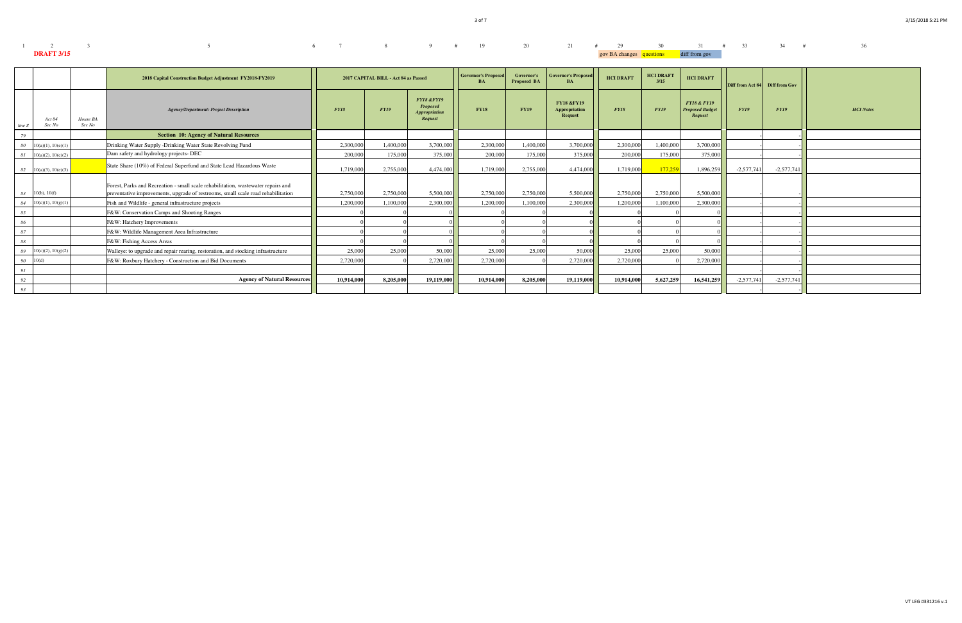| $1 \t 2 \t 3$     | $5$ 5 6 7 8 9 # 19 20 21 # 29 30 31 # 33 34 # |  |  |  |  |                                        |  |  |  |  |
|-------------------|-----------------------------------------------|--|--|--|--|----------------------------------------|--|--|--|--|
| <b>DRAFT 3/15</b> |                                               |  |  |  |  | gov BA changes questions diff from gov |  |  |  |  |

|        |                               |                    | 2018 Capital Construction Budget Adjustment FY2018-FY2019                                                                                                             |            | 2017 CAPITAL BILL - Act 84 as Passed |                                                                             | <b>Governor's Proposed</b><br><b>BA</b> | <b>Governor's</b><br><b>Proposed BA</b> | <b>Governor's Proposed</b><br><b>BA</b>           | <b>HCI DRAFT</b> | <b>HCI DRAFT</b><br>3/15 | <b>HCI DRAFT</b>                                            | Diff from Act 84 Diff from Gov |              |                  |
|--------|-------------------------------|--------------------|-----------------------------------------------------------------------------------------------------------------------------------------------------------------------|------------|--------------------------------------|-----------------------------------------------------------------------------|-----------------------------------------|-----------------------------------------|---------------------------------------------------|------------------|--------------------------|-------------------------------------------------------------|--------------------------------|--------------|------------------|
| line # | Act 84<br>Sec No              | House BA<br>Sec No | <b>Agency/Department: Project Description</b>                                                                                                                         | FY18       | <b>FY19</b>                          | <b>FY18 &amp;FY19</b><br><b>Proposed</b><br><b>Appropriation</b><br>Request | <b>FY18</b>                             | <b>FY19</b>                             | <b>FY18 &amp;FY19</b><br>Appropriation<br>Request | FY18             | <b>FY19</b>              | <b>FY18 &amp; FY19</b><br><b>Proposed Budget</b><br>Request | FY19                           | FY19         | <b>HCI</b> Notes |
| 79     |                               |                    | <b>Section 10: Agency of Natural Resources</b>                                                                                                                        |            |                                      |                                                                             |                                         |                                         |                                                   |                  |                          |                                                             |                                |              |                  |
| 80     | 10(a)(1), 10(e)(1)            |                    | Drinking Water Supply -Drinking Water State Revolving Fund                                                                                                            | 2.300,000  | 1.400.000                            | 3,700,000                                                                   | 2,300,000                               | 1,400,000                               | 3,700,000                                         | 2,300,000        | 1.400.000                | 3,700,000                                                   |                                |              |                  |
| 81     | $10(a)(2)$ , $10(e)(2)$       |                    | Dam safety and hydrology projects- DEC                                                                                                                                | 200,000    | 175,000                              | 375,000                                                                     | 200,000                                 | 175,000                                 | 375,000                                           | 200,000          | 175,000                  | 375,000                                                     |                                |              |                  |
|        | $82 \quad 10(a)(3), 10(e)(3)$ |                    | State Share (10%) of Federal Superfund and State Lead Hazardous Waste                                                                                                 | 1.719.000  | 2,755,000                            | 4,474,000                                                                   | 1,719,000                               | 2.755,000                               | 4.474.000                                         | 1.719.000        | 177,259                  | 1,896,259                                                   | $-2,577,741$                   | $-2,577,741$ |                  |
|        | $83$ 10(b), 10(f)             |                    | Forest, Parks and Recreation - small scale rehabilitation, wastewater repairs and<br>preventative improvements, upgrade of restrooms, small scale road rehabilitation | 2.750,000  | 2,750,000                            | 5,500,000                                                                   | 2,750,000                               | 2.750,000                               | 5.500,000                                         | 2,750,000        | 2,750,000                | 5.500,000                                                   |                                |              |                  |
|        | $84 \quad 10(c)(1), 10(g)(1)$ |                    | Fish and Wildlife - general infrastructure projects                                                                                                                   | 1.200.000  | 1.100.000                            | 2,300,000                                                                   | 1,200,000                               | 1.100.000                               | 2,300,000                                         | 1,200,000        | 1,100,000                | 2,300,000                                                   |                                |              |                  |
| 85     |                               |                    | F&W: Conservation Camps and Shooting Ranges                                                                                                                           |            |                                      |                                                                             |                                         |                                         |                                                   |                  |                          |                                                             |                                |              |                  |
| 86     |                               |                    | F&W: Hatchery Improvements                                                                                                                                            |            |                                      |                                                                             |                                         |                                         |                                                   |                  |                          |                                                             |                                |              |                  |
| 87     |                               |                    | F&W: Wildlife Management Area Infrastructure                                                                                                                          |            |                                      |                                                                             |                                         |                                         |                                                   |                  |                          |                                                             |                                |              |                  |
| 88     |                               |                    | F&W: Fishing Access Areas                                                                                                                                             |            |                                      |                                                                             |                                         |                                         |                                                   |                  |                          |                                                             |                                |              |                  |
| 89     | 10(c)(2), 10(g)(2)            |                    | Walleye: to upgrade and repair rearing, restoration, and stocking infrastructure                                                                                      | 25,000     | 25,000                               | 50,000                                                                      | 25,000                                  | 25,000                                  | 50.000                                            | 25,000           | 25,000                   | 50,000                                                      |                                |              |                  |
|        | $90\quad 10(d)$               |                    | F&W: Roxbury Hatchery - Construction and Bid Documents                                                                                                                | 2,720,000  |                                      | 2,720,000                                                                   | 2,720,000                               |                                         | 2,720,000                                         | 2,720,000        |                          | 2,720,000                                                   |                                |              |                  |
| 91     |                               |                    |                                                                                                                                                                       |            |                                      |                                                                             |                                         |                                         |                                                   |                  |                          |                                                             |                                |              |                  |
| 92     |                               |                    | <b>Agency of Natural Resources</b>                                                                                                                                    | 10,914,000 | 8,205,000                            | 19,119,000                                                                  | 10,914,000                              | 8.205.000                               | 19,119,000                                        | 10,914,00        | 5,627,259                | 16,541,259                                                  | $-2,577,741$                   | $-2,577,741$ |                  |
| 93     |                               |                    |                                                                                                                                                                       |            |                                      |                                                                             |                                         |                                         |                                                   |                  |                          |                                                             |                                |              |                  |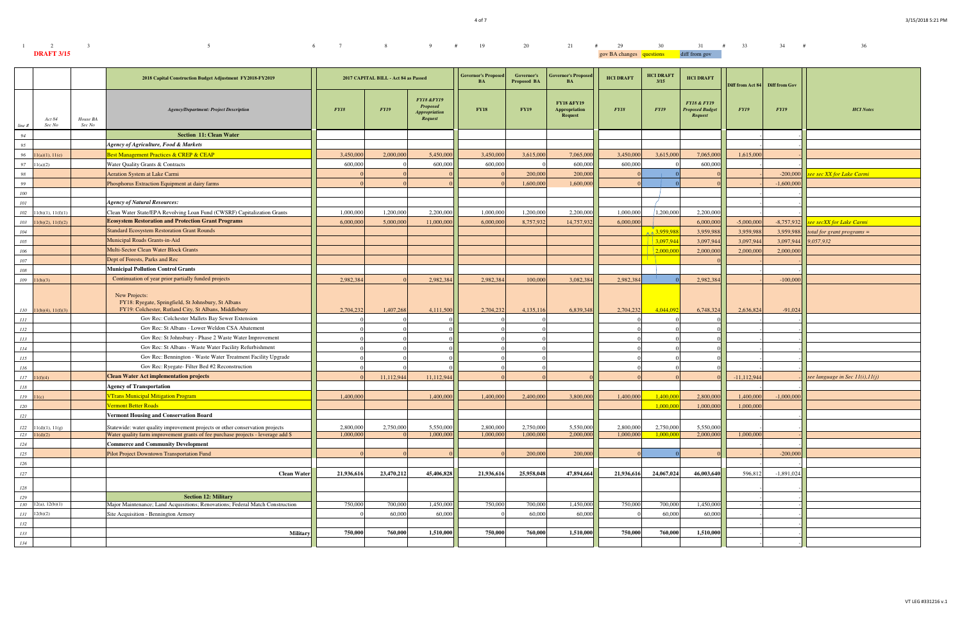4 of 7

| $1 \qquad \qquad 2 \qquad \qquad 3$ | $5$ 5 6 7 8 9 # 19 20 21 # 29 30 31 # 33 34 # |  |  |  |  |  |                                        |  |  | 36 |
|-------------------------------------|-----------------------------------------------|--|--|--|--|--|----------------------------------------|--|--|----|
| <b>DRAFT 3/15</b>                   |                                               |  |  |  |  |  | gov BA changes questions diff from gov |  |  |    |

|            |                          |                    | 2018 Capital Construction Budget Adjustment FY2018-FY2019                                                                     |             | 2017 CAPITAL BILL - Act 84 as Passed |                                                                                           | <b>Governor's Proposed</b><br>BA | Governor's<br><b>Proposed BA</b> | <b>Governor's Proposed</b><br><b>BA</b>                         | <b>HCI DRAFT</b> | <b>HCI DRAFT</b><br>3/15 | <b>HCI DRAFT</b>                                            | Diff from Act 84 Diff from Gov |              |                                    |
|------------|--------------------------|--------------------|-------------------------------------------------------------------------------------------------------------------------------|-------------|--------------------------------------|-------------------------------------------------------------------------------------------|----------------------------------|----------------------------------|-----------------------------------------------------------------|------------------|--------------------------|-------------------------------------------------------------|--------------------------------|--------------|------------------------------------|
| line #     | Act 84<br>Sec No         | House BA<br>Sec No | <b>Agency/Department: Project Description</b>                                                                                 | <b>FY18</b> | <b>FY19</b>                          | <b>FY18 &amp;FY19</b><br><b>Proposed</b><br><i><b>Appropriation</b></i><br><b>Request</b> | <b>FY18</b>                      | <b>FY19</b>                      | <b>FY18 &amp;FY19</b><br><b>Appropriation</b><br><b>Request</b> | <b>FY18</b>      | <b>FY19</b>              | <b>FY18 &amp; FY19</b><br><b>Proposed Budget</b><br>Request | FY19                           | <b>FY19</b>  | <b>HCI</b> Notes                   |
| 94         |                          |                    | <b>Section 11: Clean Water</b>                                                                                                |             |                                      |                                                                                           |                                  |                                  |                                                                 |                  |                          |                                                             |                                |              |                                    |
| 95         |                          |                    | <b>Agency of Agriculture, Food &amp; Markets</b>                                                                              |             |                                      |                                                                                           |                                  |                                  |                                                                 |                  |                          |                                                             |                                |              |                                    |
| 96         | 1(a)(1), 11(e)           |                    | Best Management Practices & CREP & CEAP                                                                                       | 3,450,000   | 2,000,000                            | 5,450,000                                                                                 | 3,450,000                        | 3,615,000                        | 7,065,000                                                       | 3,450,00         | 3,615,000                | 7,065,000                                                   | 1,615,000                      |              |                                    |
| 97         | 1(a)(2)                  |                    | Water Quality Grants & Contracts                                                                                              | 600,000     |                                      | 600,000                                                                                   | 600,000                          |                                  | 600,000                                                         | 600,000          |                          | 600,000                                                     |                                |              |                                    |
| 98         |                          |                    | <b>Aeration System at Lake Carmi</b>                                                                                          |             |                                      |                                                                                           |                                  | 200,000                          | 200,000                                                         |                  |                          |                                                             |                                | $-200,000$   | see sec XX for Lake Carmi          |
| 99         |                          |                    | Phosphorus Extraction Equipment at dairy farms                                                                                |             |                                      |                                                                                           |                                  | 1,600,000                        | 1,600,000                                                       |                  |                          |                                                             |                                | $-1,600,000$ |                                    |
| 100        |                          |                    |                                                                                                                               |             |                                      |                                                                                           |                                  |                                  |                                                                 |                  |                          |                                                             |                                |              |                                    |
| 101        |                          |                    | <b>Agency of Natural Resources:</b>                                                                                           |             |                                      |                                                                                           |                                  |                                  |                                                                 |                  |                          |                                                             |                                |              |                                    |
| 102        | 1(b)(1), 11(f)(1)        |                    | Clean Water State/EPA Revolving Loan Fund (CWSRF) Capitalization Grants                                                       | 1,000,000   | 1,200,000                            | 2,200,000                                                                                 | 1,000,000                        | 1,200,000                        | 2,200,000                                                       | 1,000,000        | 1,200,000                | 2,200,000                                                   |                                |              |                                    |
| 103        | 1(b)(2), 11(f)(2)        |                    | <b>Ecosystem Restoration and Protection Grant Programs</b>                                                                    | 6,000,000   | 5,000,000                            | 11,000,000                                                                                | 6,000,000                        | 8,757,932                        | 14,757,932                                                      | 6,000,000        |                          | 6,000,000                                                   | $-5,000,000$                   | $-8,757,932$ | see secXX for Lake Carmi           |
| 104        |                          |                    | <b>Standard Ecosystem Restoration Grant Rounds</b>                                                                            |             |                                      |                                                                                           |                                  |                                  |                                                                 |                  | $\land$ 3,959,98         | 3,959,988                                                   | 3,959,988                      | 3,959,988    | total for grant programs $=$       |
| 105        |                          |                    | Municipal Roads Grants-in-Aid                                                                                                 |             |                                      |                                                                                           |                                  |                                  |                                                                 |                  | 3,097,944                | 3,097,944                                                   | 3,097,944                      | 3,097,944    | 9,057,932                          |
| 106        |                          |                    | Multi-Sector Clean Water Block Grants                                                                                         |             |                                      |                                                                                           |                                  |                                  |                                                                 |                  | 2,000,00                 | 2,000,00                                                    | 2,000,000                      | 2,000,000    |                                    |
| 107        |                          |                    | Dept of Forests, Parks and Rec                                                                                                |             |                                      |                                                                                           |                                  |                                  |                                                                 |                  |                          |                                                             |                                |              |                                    |
| 108        |                          |                    | <b>Municipal Pollution Control Grants</b>                                                                                     |             |                                      |                                                                                           |                                  |                                  |                                                                 |                  |                          |                                                             |                                |              |                                    |
| 109        | 1(b)(3)                  |                    | Continuation of year prior partially funded projects                                                                          | 2,982,384   |                                      | 2,982,384                                                                                 | 2,982,384                        | 100,000                          | 3,082,384                                                       | 2,982,384        |                          | 2,982,384                                                   |                                | $-100,000$   |                                    |
|            | $110$ 11(b)(4), 11(f)(3) |                    | New Projects:<br>FY18: Ryegate, Springfield, St Johnsbury, St Albans<br>FY19: Colchester, Rutland City, St Albans, Middlebury | 2,704,232   | 1,407,268                            | 4,111,500                                                                                 | 2,704,232                        | 4,135,116                        | 6,839,348                                                       | 2,704,232        | 4,044,092                | 6,748,324                                                   | 2,636,824                      | $-91,024$    |                                    |
| $\cal III$ |                          |                    | Gov Rec: Colchester Mallets Bay Sewer Extension                                                                               |             |                                      |                                                                                           |                                  |                                  |                                                                 |                  |                          |                                                             |                                |              |                                    |
| 112        |                          |                    | Gov Rec: St Albans - Lower Weldon CSA Abatement                                                                               |             |                                      |                                                                                           |                                  |                                  |                                                                 |                  |                          |                                                             |                                |              |                                    |
| 113        |                          |                    | Gov Rec: St Johnsbury - Phase 2 Waste Water Improvement                                                                       |             |                                      |                                                                                           |                                  |                                  |                                                                 |                  |                          |                                                             |                                |              |                                    |
| 114        |                          |                    | Gov Rec: St Albans - Waste Water Facility Refurbishment                                                                       |             |                                      |                                                                                           |                                  |                                  |                                                                 |                  |                          |                                                             |                                |              |                                    |
| 115        |                          |                    | Gov Rec: Bennington - Waste Water Treatment Facility Upgrade                                                                  |             |                                      |                                                                                           |                                  |                                  |                                                                 |                  |                          |                                                             |                                |              |                                    |
| 116        |                          |                    | Gov Rec: Ryegate- Filter Bed #2 Reconstruction                                                                                |             |                                      |                                                                                           |                                  |                                  |                                                                 |                  |                          |                                                             |                                |              |                                    |
| 117        | 1(f)(4)                  |                    | <b>Clean Water Act implementation projects</b>                                                                                |             | 11,112,944                           | 11,112,944                                                                                |                                  |                                  |                                                                 |                  |                          |                                                             | $-11, 112, 944$                |              | see language in Sec $11(i), 11(j)$ |
| 118        |                          |                    | <b>Agency of Transportation</b>                                                                                               |             |                                      |                                                                                           |                                  |                                  |                                                                 |                  |                          |                                                             |                                |              |                                    |
| 119        | 1(c)                     |                    | <b>VTrans Municipal Mitigation Program</b>                                                                                    | 1,400,000   |                                      | 1,400,000                                                                                 | 1,400,000                        | 2,400,000                        | 3,800,000                                                       | 1,400,000        | 1,400,00                 | 2,800,000                                                   | 1,400,000                      | $-1,000,000$ |                                    |
| 120        |                          |                    | <b><i><u>Ermont Better Roads</u></i></b>                                                                                      |             |                                      |                                                                                           |                                  |                                  |                                                                 |                  | 1,000,00                 | 1,000,000                                                   | 1,000,000                      |              |                                    |
| 121        |                          |                    | <b>Vermont Housing and Conservation Board</b>                                                                                 |             |                                      |                                                                                           |                                  |                                  |                                                                 |                  |                          |                                                             |                                |              |                                    |
| 122        | 11(d)(1), 11(g)          |                    | Statewide: water quality improvement projects or other conservation projects                                                  | 2,800,000   | 2,750,000                            | 5,550,000                                                                                 | 2,800,000                        | 2,750,000                        | 5,550,000                                                       | 2,800,000        | 2,750,000                | 5,550,000                                                   |                                |              |                                    |
| 123        | 11(d)(2)                 |                    | Water quality farm improvement grants of fee purchase projects - leverage add \$                                              | 1,000,000   |                                      | 1,000,000                                                                                 | 1,000,000                        | 1,000,000                        | 2,000,000                                                       | 1,000,000        | 1.000,000                | 2,000,000                                                   | 1,000,000                      |              |                                    |
| 124        |                          |                    | <b>Commerce and Community Development</b>                                                                                     |             |                                      |                                                                                           |                                  |                                  |                                                                 |                  |                          |                                                             |                                |              |                                    |
| 125        |                          |                    | Pilot Project Downtown Transportation Fund                                                                                    |             |                                      |                                                                                           |                                  | 200,000                          | 200,000                                                         |                  |                          |                                                             |                                | $-200,000$   |                                    |
| 126        |                          |                    |                                                                                                                               |             |                                      |                                                                                           |                                  |                                  |                                                                 |                  |                          |                                                             |                                |              |                                    |
| 127        |                          |                    | <b>Clean Water</b>                                                                                                            | 21,936,616  | 23,470,212                           | 45,406,828                                                                                | 21,936,616                       | 25,958,048                       | 47,894,664                                                      | 21,936,616       | 24,067,024               | 46,003,640                                                  | 596,812                        | $-1,891,024$ |                                    |
| 128        |                          |                    |                                                                                                                               |             |                                      |                                                                                           |                                  |                                  |                                                                 |                  |                          |                                                             |                                |              |                                    |
| 129        |                          |                    | <b>Section 12: Military</b>                                                                                                   |             |                                      |                                                                                           |                                  |                                  |                                                                 |                  |                          |                                                             |                                |              |                                    |
| 130        | 12(a), 12(b)(1)          |                    | Major Maintenance: Land Acquisitions: Renovations: Federal Match Construction                                                 | 750,000     | 700,000                              | 1,450,000                                                                                 | 750,000                          | 700,000                          | 1,450,000                                                       | 750,000          | 700,000                  | 1,450,000                                                   |                                |              |                                    |
| 131        | 2(b)(2)                  |                    | Site Acquisition - Bennington Armory                                                                                          |             | 60,000                               | 60,000                                                                                    |                                  | 60,000                           | 60,000                                                          |                  | 60,000                   | 60,000                                                      |                                |              |                                    |
| 132        |                          |                    |                                                                                                                               |             |                                      |                                                                                           |                                  |                                  |                                                                 |                  |                          |                                                             |                                |              |                                    |
| 133        |                          |                    | Military                                                                                                                      | 750,000     | 760,000                              | 1,510,000                                                                                 | 750,000                          | 760,000                          | 1,510,000                                                       | 750,000          | 760,000                  | 1,510,000                                                   |                                |              |                                    |
| 134        |                          |                    |                                                                                                                               |             |                                      |                                                                                           |                                  |                                  |                                                                 |                  |                          |                                                             |                                |              |                                    |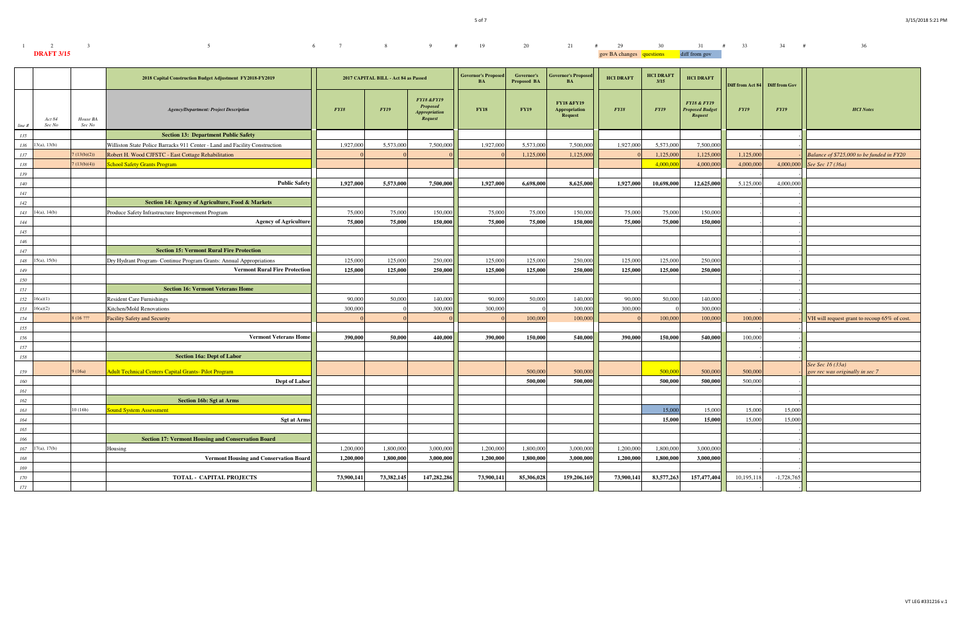| $1 \t 2 \t 3$     |  |  |  | $6 \qquad 7 \qquad 8 \qquad 9 \qquad \# \qquad 19 \qquad 20 \qquad 21 \qquad \# \qquad 29 \qquad 30 \qquad 31 \qquad \# \qquad 33 \qquad 34 \qquad \#$ |                                        |  |  | 36 |
|-------------------|--|--|--|--------------------------------------------------------------------------------------------------------------------------------------------------------|----------------------------------------|--|--|----|
| <b>DRAFT 3/15</b> |  |  |  |                                                                                                                                                        | gov BA changes questions diff from gov |  |  |    |

|         |                      |                    | 2018 Capital Construction Budget Adjustment FY2018-FY2019                   |            | 2017 CAPITAL BILL - Act 84 as Passed |                                                                                    | <b>Governor's Propose</b><br>BA | Governor's<br><b>Proposed BA</b> | <b>Governor's Proposed</b><br><b>BA</b>                         | <b>HCI DRAFT</b> | <b>HCI DRAFT</b><br>3/15 | <b>HCI DRAFT</b>                                            | Diff from Act 84 Diff from Gov |              |                                              |
|---------|----------------------|--------------------|-----------------------------------------------------------------------------|------------|--------------------------------------|------------------------------------------------------------------------------------|---------------------------------|----------------------------------|-----------------------------------------------------------------|------------------|--------------------------|-------------------------------------------------------------|--------------------------------|--------------|----------------------------------------------|
| line#   | Act 84<br>Sec No     | House BA<br>Sec No | <b>Agency/Department: Project Description</b>                               | FY18       | <b>FY19</b>                          | <b>FY18 &amp;FY19</b><br><b>Proposed</b><br><b>Appropriation</b><br><b>Request</b> | <b>FY18</b>                     | <b>FY19</b>                      | <b>FY18 &amp;FY19</b><br><b>Appropriation</b><br><b>Request</b> | FY18             | <b>FY19</b>              | <b>FY18 &amp; FY19</b><br><b>Proposed Budget</b><br>Request | FY19                           | <b>FY19</b>  | <b>HCI</b> Notes                             |
| 135     |                      |                    | <b>Section 13: Department Public Safety</b>                                 |            |                                      |                                                                                    |                                 |                                  |                                                                 |                  |                          |                                                             |                                |              |                                              |
|         | $136$ 13(a), 13(b)   |                    | Williston State Police Barracks 911 Center - Land and Facility Construction | 1,927,000  | 5,573,000                            | 7,500,000                                                                          | 1,927,000                       | 5,573,000                        | 7,500,000                                                       | 1,927,000        | 5,573,000                | 7,500,000                                                   |                                |              |                                              |
| 137     |                      | (13(b)(2))         | Robert H. Wood CJFSTC - East Cottage Rehabilitation                         |            |                                      |                                                                                    |                                 | 1,125,000                        | 1,125,000                                                       |                  | 1,125,000                | 1,125,000                                                   | 1,125,00                       |              | Balance of \$725,000 to be funded in FY20    |
| 138     |                      | 7(13(b)(4))        | <b>School Safety Grants Program</b>                                         |            |                                      |                                                                                    |                                 |                                  |                                                                 |                  | 4,000,000                | 4,000,000                                                   | 4,000,00                       | 4,000,000    | See Sec 17 (36a)                             |
| 139     |                      |                    |                                                                             |            |                                      |                                                                                    |                                 |                                  |                                                                 |                  |                          |                                                             |                                |              |                                              |
| 140     |                      |                    | <b>Public Safety</b>                                                        | 1,927,000  | 5,573,000                            | 7,500,000                                                                          | 1,927,000                       | 6,698,000                        | 8,625,000                                                       | 1,927,000        | 10,698,000               | 12,625,000                                                  | 5,125,000                      | 4,000,000    |                                              |
| 141     |                      |                    |                                                                             |            |                                      |                                                                                    |                                 |                                  |                                                                 |                  |                          |                                                             |                                |              |                                              |
| 142     |                      |                    | Section 14: Agency of Agriculture, Food & Markets                           |            |                                      |                                                                                    |                                 |                                  |                                                                 |                  |                          |                                                             |                                |              |                                              |
| 143     | 14(a), 14(b)         |                    | Produce Safety Infrastructure Improvement Program                           | 75,000     | 75,000                               | 150,000                                                                            | 75,000                          | 75,000                           | 150,000                                                         | 75,000           | 75,000                   | 150,000                                                     |                                |              |                                              |
| 144     |                      |                    | <b>Agency of Agriculture</b>                                                | 75,000     | 75,000                               | 150,000                                                                            | 75,000                          | 75,000                           | 150.000                                                         | 75,000           | 75,000                   | 150,000                                                     |                                |              |                                              |
| 145     |                      |                    |                                                                             |            |                                      |                                                                                    |                                 |                                  |                                                                 |                  |                          |                                                             |                                |              |                                              |
| 146     |                      |                    |                                                                             |            |                                      |                                                                                    |                                 |                                  |                                                                 |                  |                          |                                                             |                                |              |                                              |
| 147     |                      |                    | <b>Section 15: Vermont Rural Fire Protection</b>                            |            |                                      |                                                                                    |                                 |                                  |                                                                 |                  |                          |                                                             |                                |              |                                              |
| 148     | 15(a), 15(b)         |                    | Dry Hydrant Program- Continue Program Grants: Annual Appropriations         | 125,000    | 125,000                              | 250,000                                                                            | 125,000                         | 125,000                          | 250,000                                                         | 125,000          | 125,000                  | 250,000                                                     |                                |              |                                              |
| 149     |                      |                    | <b>Vermont Rural Fire Protection</b>                                        | 125,000    | 125,000                              | 250,000                                                                            | 125,000                         | 125,000                          | 250,000                                                         | 125,000          | 125,000                  | 250,000                                                     |                                |              |                                              |
| 150     |                      |                    |                                                                             |            |                                      |                                                                                    |                                 |                                  |                                                                 |                  |                          |                                                             |                                |              |                                              |
| 151     |                      |                    | <b>Section 16: Vermont Veterans Home</b>                                    |            |                                      |                                                                                    |                                 |                                  |                                                                 |                  |                          |                                                             |                                |              |                                              |
|         | $152 \quad 16(a)(1)$ |                    | <b>Resident Care Furnishings</b>                                            | 90,000     | 50,000                               | 140,000                                                                            | 90,000                          | 50,000                           | 140,000                                                         | 90,000           | 50,000                   | 140,000                                                     |                                |              |                                              |
|         | $153 \quad 16(a)(2)$ |                    | Kitchen/Mold Renovations                                                    | 300,000    |                                      | 300,000                                                                            | 300,000                         |                                  | 300,000                                                         | 300,000          |                          | 300,000                                                     |                                |              |                                              |
| 154     |                      | 8 (16 ???          | <b>Facility Safety and Security</b>                                         |            |                                      |                                                                                    |                                 | 100,000                          | 100,000                                                         |                  | 100,000                  | 100,000                                                     | 100,000                        |              | VH will request grant to recoup 65% of cost. |
| 155     |                      |                    |                                                                             |            |                                      |                                                                                    |                                 |                                  |                                                                 |                  |                          |                                                             |                                |              |                                              |
| 156     |                      |                    | <b>Vermont Veterans Home</b>                                                | 390,000    | 50,000                               | 440,000                                                                            | 390,000                         | 150,000                          | 540,000                                                         | 390,000          | 150,000                  | 540,000                                                     | 100,000                        |              |                                              |
| 157     |                      |                    |                                                                             |            |                                      |                                                                                    |                                 |                                  |                                                                 |                  |                          |                                                             |                                |              |                                              |
| 158     |                      |                    | <b>Section 16a: Dept of Labor</b>                                           |            |                                      |                                                                                    |                                 |                                  |                                                                 |                  |                          |                                                             |                                |              |                                              |
|         |                      |                    |                                                                             |            |                                      |                                                                                    |                                 |                                  |                                                                 |                  |                          |                                                             |                                |              | See Sec 16 (33a)                             |
| 159     |                      | 9(16a)             | <b>Adult Technical Centers Capital Grants-Pilot Program</b>                 |            |                                      |                                                                                    |                                 | 500,000                          | 500,000                                                         |                  | 500,000                  | 500,000                                                     | 500,000                        |              | gov rec was originally in sec 7              |
| 160     |                      |                    | Dept of Labor                                                               |            |                                      |                                                                                    |                                 | 500,000                          | 500,000                                                         |                  | 500,000                  | 500,000                                                     | 500,000                        |              |                                              |
| 161     |                      |                    |                                                                             |            |                                      |                                                                                    |                                 |                                  |                                                                 |                  |                          |                                                             |                                |              |                                              |
| 162     |                      |                    | <b>Section 16b: Sgt at Arms</b>                                             |            |                                      |                                                                                    |                                 |                                  |                                                                 |                  |                          |                                                             |                                |              |                                              |
| 163     |                      | 10(16b)            | <b>Sound System Assessment</b>                                              |            |                                      |                                                                                    |                                 |                                  |                                                                 |                  | 15,000                   | 15,000                                                      | 15,000                         | 15,000       |                                              |
| 164     |                      |                    | <b>Sgt at Arms</b>                                                          |            |                                      |                                                                                    |                                 |                                  |                                                                 |                  | 15,000                   | 15,000                                                      | 15,000                         | 15,000       |                                              |
| 165     |                      |                    |                                                                             |            |                                      |                                                                                    |                                 |                                  |                                                                 |                  |                          |                                                             |                                |              |                                              |
| 166     |                      |                    | <b>Section 17: Vermont Housing and Conservation Board</b>                   |            |                                      |                                                                                    |                                 |                                  |                                                                 |                  |                          |                                                             |                                |              |                                              |
|         | $167$ 17(a), 17(b)   |                    | Housing                                                                     | 1,200,000  | 1,800,000                            | 3,000,000                                                                          | 1,200,000                       | 1,800,000                        | 3,000,000                                                       | 1,200,000        | 1,800,000                | 3,000,000                                                   |                                |              |                                              |
| 168     |                      |                    | <b>Vermont Housing and Conservation Board</b>                               | 1,200,000  | 1,800,000                            | 3,000,000                                                                          | 1,200,000                       | 1,800,000                        | 3,000,000                                                       | 1,200,000        | 1,800,000                | 3,000,000                                                   |                                |              |                                              |
| 169     |                      |                    |                                                                             |            |                                      |                                                                                    |                                 |                                  |                                                                 |                  |                          |                                                             |                                |              |                                              |
| $170\,$ |                      |                    | TOTAL - CAPITAL PROJECTS                                                    | 73,900,141 | 73,382,145                           | 147,282,286                                                                        | 73,900,141                      | 85,306,028                       | 159,206,169                                                     | 73,900,141       | 83,577,263               | 157,477,404                                                 | 10,195,118                     | $-1,728,765$ |                                              |
| 171     |                      |                    |                                                                             |            |                                      |                                                                                    |                                 |                                  |                                                                 |                  |                          |                                                             |                                |              |                                              |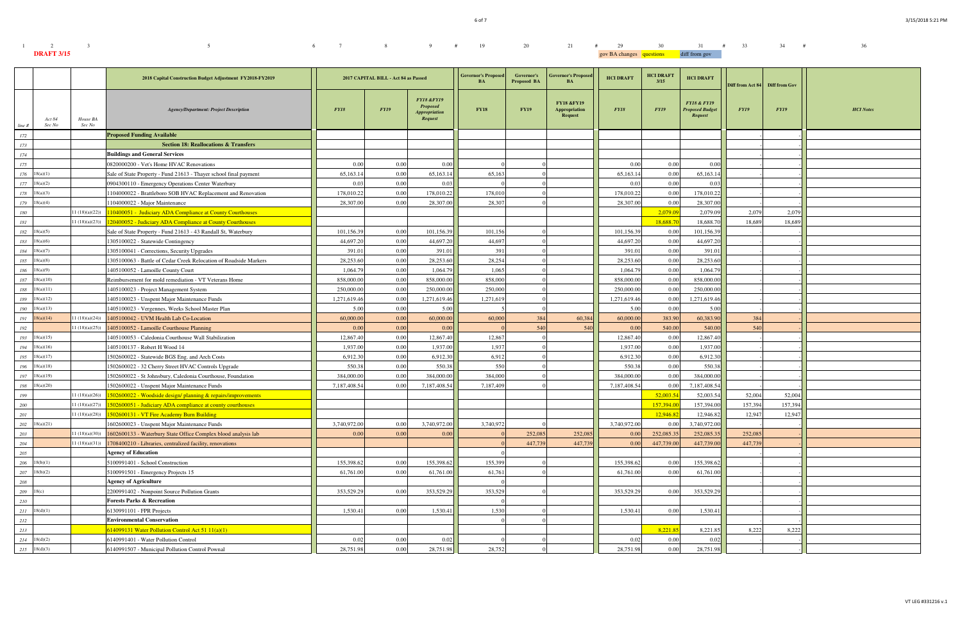| $1 \qquad \qquad 2 \qquad \qquad 3$ | $5$ 5 6 7 8 9 # 19 20 21 # 29 30 31 # 33 34 # |  |  |  |  |  |                                        |  |  | 36 |
|-------------------------------------|-----------------------------------------------|--|--|--|--|--|----------------------------------------|--|--|----|
| <b>DRAFT 3/15</b>                   |                                               |  |  |  |  |  | gov BA changes questions diff from gov |  |  |    |

|           |                       |                    | 2018 Capital Construction Budget Adjustment FY2018-FY2019         |              | 2017 CAPITAL BILL - Act 84 as Passed |                                                                                    | <b>Governor's Proposed</b><br><b>BA</b> | Governor's<br><b>Proposed BA</b> | <b>Governor's Proposed</b><br><b>BA</b>                         | <b>HCI DRAFT</b> | <b>HCI DRAFT</b><br>3/15 | <b>HCI DRAFT</b>                                                   | Diff from Act 84 Diff from Gov |             |                  |
|-----------|-----------------------|--------------------|-------------------------------------------------------------------|--------------|--------------------------------------|------------------------------------------------------------------------------------|-----------------------------------------|----------------------------------|-----------------------------------------------------------------|------------------|--------------------------|--------------------------------------------------------------------|--------------------------------|-------------|------------------|
| line #    | Act 84<br>Sec No      | House BA<br>Sec No | <b>Agency/Department: Project Description</b>                     | FY18         | FY19                                 | <b>FY18 &amp;FY19</b><br><b>Proposed</b><br><b>Appropriation</b><br><b>Request</b> | <b>FY18</b>                             | <b>FY19</b>                      | <b>FY18 &amp;FY19</b><br><b>Appropriation</b><br><b>Request</b> | FY18             | <b>FY19</b>              | <b>FY18 &amp; FY19</b><br><b>Proposed Budget</b><br><b>Request</b> | FY19                           | <b>FY19</b> | <b>HCI</b> Notes |
| 172       |                       |                    | <b>Proposed Funding Available</b>                                 |              |                                      |                                                                                    |                                         |                                  |                                                                 |                  |                          |                                                                    |                                |             |                  |
| 173       |                       |                    | <b>Section 18: Reallocations &amp; Transfers</b>                  |              |                                      |                                                                                    |                                         |                                  |                                                                 |                  |                          |                                                                    |                                |             |                  |
| 174       |                       |                    | <b>Buildings and General Services</b>                             |              |                                      |                                                                                    |                                         |                                  |                                                                 |                  |                          |                                                                    |                                |             |                  |
| 175       |                       |                    | 0820000200 - Vet's Home HVAC Renovations                          | 0.00         | 0.00                                 | 0.00                                                                               |                                         |                                  |                                                                 | 0.00             | 0.00                     | 0.00                                                               |                                |             |                  |
|           | $176$ 18(a)(1)        |                    | Sale of State Property - Fund 21613 - Thayer school final payment | 65,163.1     | 0.00                                 | 65,163.14                                                                          | 65,163                                  |                                  |                                                                 | 65,163.14        | 0.00                     | 65,163.14                                                          |                                |             |                  |
|           | $177$ 18(a)(2)        |                    | 0904300110 - Emergency Operations Center Waterbury                | 0.03         | 0.00                                 | 0.03                                                                               |                                         |                                  |                                                                 | 0.03             | 0.00                     | 0.03                                                               |                                |             |                  |
|           | $178$ 18(a)(3)        |                    | 104000022 - Brattleboro SOB HVAC Replacement and Renovation       | 178,010.22   | 0.00                                 | 178,010.22                                                                         | 178,010                                 |                                  |                                                                 | 178,010.22       | 0.00                     | 178,010.22                                                         |                                |             |                  |
|           | $179$ 18(a)(4)        |                    | 104000022 - Major Maintenance                                     | 28,307.00    | 0.00                                 | 28,307.00                                                                          | 28,307                                  |                                  |                                                                 | 28,307.00        | 0.00                     | 28,307.00                                                          |                                |             |                  |
| 180       |                       | (1 (18)(a)(22))    | 110400051 - Judiciary ADA Compliance at County Courthouses        |              |                                      |                                                                                    |                                         |                                  |                                                                 |                  | 2,079.09                 | 2,079.09                                                           | 2,079                          | 2,079       |                  |
| $181\,$   |                       | (1 (18)(a)(23))    | 120400052 - Judiciary ADA Compliance at County Courthouses        |              |                                      |                                                                                    |                                         |                                  |                                                                 |                  | 18,688.7                 | 18,688.70                                                          | 18,689                         | 18.689      |                  |
|           | $182 \quad 18(a)(5)$  |                    | Sale of State Property - Fund 21613 - 43 Randall St, Waterbury    | 101,156.39   | 0.00                                 | 101,156.39                                                                         | 101,156                                 |                                  |                                                                 | 101,156.39       | 0.00                     | 101,156.39                                                         |                                |             |                  |
|           | $183 \quad 18(a)(6)$  |                    | 1305100022 - Statewide Contingency                                | 44,697.20    | 0.00                                 | 44,697.20                                                                          | 44,697                                  |                                  |                                                                 | 44,697.20        | 0.00                     | 44,697.20                                                          |                                |             |                  |
|           | $184$ 18(a)(7)        |                    | 1305100041 - Corrections, Security Upgrades                       | 391.01       | 0.00                                 | 391.01                                                                             | 391                                     |                                  |                                                                 | 391.01           | 0.00                     | 391.01                                                             |                                |             |                  |
|           | $185 \quad 18(a)(8)$  |                    | 1305100063 - Battle of Cedar Creek Relocation of Roadside Markers | 28,253.60    | 0.00                                 | 28,253.60                                                                          | 28,254                                  |                                  |                                                                 | 28,253.60        | 0.00                     | 28,253.60                                                          |                                |             |                  |
|           | $186$ $18(a)(9)$      |                    | 1405100052 - Lamoille County Court                                | 1,064.7      | 0.00                                 | 1,064.79                                                                           | 1,065                                   |                                  |                                                                 | 1,064.79         | 0.00                     | 1,064.79                                                           |                                |             |                  |
|           | $187 - 18(a)(10)$     |                    | Reimbursement for mold remediation - VT Veterans Home             | 858,000.00   | 0.00                                 | 858,000.00                                                                         | 858,000                                 |                                  |                                                                 | 858,000.00       | 0.00                     | 858,000.00                                                         |                                |             |                  |
|           | $188$ $18(a)(11)$     |                    | 1405100023 - Project Management System                            | 250,000.00   | 0.00                                 | 250,000.00                                                                         | 250,000                                 |                                  |                                                                 | 250,000.00       | 0.00                     | 250,000.00                                                         |                                |             |                  |
|           | $189$ $18(a)(12)$     |                    | 1405100023 - Unspent Major Maintenance Funds                      | 1,271,619.46 | 0.00                                 | 1,271,619.46                                                                       | 1,271,619                               |                                  |                                                                 | 1,271,619.46     | 0.00                     | 1,271,619.46                                                       |                                |             |                  |
| 190       | 18(a)(13)             |                    | 1405100023 - Vergennes, Weeks School Master Plan                  | 5.00         | 0.00                                 | 5.00                                                                               |                                         |                                  |                                                                 | 5.00             | 0.00                     | 5.00                                                               |                                |             |                  |
| 191       | 18(a)(14)             | (1 (18)(a)(24))    | 1405100042 - UVM Health Lab Co-Location                           | 60,000.00    | 0.00                                 | 60,000.00                                                                          | 60,000                                  | 384                              | 60,384                                                          | 60,000.00        | 383.90                   | 60,383.90                                                          | 384                            |             |                  |
| 192       |                       | (1 (18)(a)(25))    | 1405100052 - Lamoille Courthouse Planning                         | 0.00         | 0.00                                 | 0.00                                                                               |                                         | 540                              | 540                                                             | 0.00             | 540.00                   | 540.00                                                             | 540                            |             |                  |
|           | $193$ 18(a)(15)       |                    | 1405100053 - Caledonia Courthouse Wall Stabilization              | 12,867.40    | 0.00                                 | 12,867.40                                                                          | 12,867                                  |                                  |                                                                 | 12,867.40        | 0.00                     | 12,867.40                                                          |                                |             |                  |
|           | $194$ 18(a)(16)       |                    | 1405100137 - Robert H Wood 14                                     | 1,937.00     | 0.00                                 | 1,937.00                                                                           | 1,937                                   |                                  |                                                                 | 1,937.00         | 0.00                     | 1,937.00                                                           |                                |             |                  |
|           | $195$ 18(a)(17)       |                    | 1502600022 - Statewide BGS Eng. and Arch Costs                    | 6,912.30     | 0.00                                 | 6,912.30                                                                           | 6,912                                   |                                  |                                                                 | 6,912.30         | 0.00                     | 6,912.30                                                           |                                |             |                  |
|           | $196$ 18(a)(18)       |                    | 1502600022 - 32 Cherry Street HVAC Controls Upgrade               | 550.3        | 0.00                                 | 550.38                                                                             | 550                                     |                                  |                                                                 | 550.38           | 0.00                     | 550.38                                                             |                                |             |                  |
|           | $197$ 18(a)(19)       |                    | 1502600022 - St Johnsbury, Caledonia Courthouse, Foundation       | 384,000.00   | 0.00                                 | 384,000.00                                                                         | 384,000                                 |                                  |                                                                 | 384,000.00       | 0.00                     | 384,000.00                                                         |                                |             |                  |
|           | $198$ 18(a)(20)       |                    | 1502600022 - Unspent Major Maintenance Funds                      | 7,187,408.54 | 0.00                                 | 7,187,408.5                                                                        | 7,187,409                               |                                  |                                                                 | 7,187,408.54     | 0.00                     | 7,187,408.54                                                       |                                |             |                  |
| 199       |                       | (1 (18)(a)(26))    | 1502600022 - Woodside design/ planning & repairs/improvements     |              |                                      |                                                                                    |                                         |                                  |                                                                 |                  | 52,003.5                 | 52,003.54                                                          | 52,004                         | 52,004      |                  |
| 200       |                       | (1 (18)(a)(27))    | 1502600051 - Judiciary ADA compliance at county courthouses       |              |                                      |                                                                                    |                                         |                                  |                                                                 |                  | 157,394.00               | 157,394.00                                                         | 157,394                        | 157,394     |                  |
| 201       |                       |                    | 11 (18)(a)(28)) 1502600131 - VT Fire Academy Burn Building        |              |                                      |                                                                                    |                                         |                                  |                                                                 |                  | 12,946.82                | 12,946.82                                                          | 12,94                          | 12,947      |                  |
|           | $202 \quad 18(a)(21)$ |                    | 1602600023 - Unspent Major Maintenance Funds                      | 3,740,972.00 | 0.00                                 | 3,740,972.00                                                                       | 3,740,972                               |                                  |                                                                 | 3,740,972.00     | 0.00                     | 3,740,972.00                                                       |                                |             |                  |
| 203       |                       | (1 (18)(a)(30))    | 1602600133 - Waterbury State Office Complex blood analysis lab    | 0.00         | 0.00                                 | 0.00                                                                               |                                         | 252,085                          | 252,085                                                         | 0.00             | 252,085.35               | 252,085.35                                                         | 252,08:                        |             |                  |
| 204       |                       | (1 (18)(a)(31))    | 1708400210 - Libraries, centralized facility, renovations         |              |                                      |                                                                                    |                                         | 447,739                          | 447,739                                                         | 0.00             | 447,739.00               | 447,739.00                                                         | 447,739                        |             |                  |
| 205       |                       |                    | <b>Agency of Education</b>                                        |              |                                      |                                                                                    |                                         |                                  |                                                                 |                  |                          |                                                                    |                                |             |                  |
|           | $206 - 18(b)(1)$      |                    | 5100991401 - School Construction                                  | 155,398.62   | 0.00                                 | 155,398.62                                                                         | 155,399                                 |                                  |                                                                 | 155,398.62       | 0.00                     | 155,398.62                                                         |                                |             |                  |
| 207       | 18(b)(2)              |                    | 5100991501 - Emergency Projects 15                                | 61,761.00    | 0.00                                 | 61,761.00                                                                          | 61,761                                  |                                  |                                                                 | 61,761.00        | 0.00                     | 61,761.00                                                          |                                |             |                  |
| $208\,$   |                       |                    | <b>Agency of Agriculture</b>                                      |              |                                      |                                                                                    |                                         |                                  |                                                                 |                  |                          |                                                                    |                                |             |                  |
| 209 18(c) |                       |                    | 2200991402 - Nonpoint Source Pollution Grants                     | 353,529.29   | 0.00                                 | 353,529.29                                                                         | 353,529                                 |                                  |                                                                 | 353,529.29       | 0.00                     | 353,529.29                                                         |                                |             |                  |
| $210\,$   |                       |                    | <b>Forests Parks &amp; Recreation</b>                             |              |                                      |                                                                                    |                                         |                                  |                                                                 |                  |                          |                                                                    |                                |             |                  |
|           | $211 \quad 18(d)(1)$  |                    | 6130991101 - FPR Projects                                         | 1,530.41     | 0.00                                 | 1,530.41                                                                           | 1,530                                   |                                  |                                                                 | 1,530.41         | 0.00                     | 1,530.41                                                           |                                |             |                  |
| 212       |                       |                    | <b>Environmental Conservation</b>                                 |              |                                      |                                                                                    |                                         |                                  |                                                                 |                  |                          |                                                                    |                                |             |                  |
| 213       |                       |                    | $514099131$ Water Pollution Control Act 51 $11(a)(1)$             |              |                                      |                                                                                    |                                         |                                  |                                                                 |                  | 8,221.85                 | 8,221.85                                                           | 8,222                          | 8,222       |                  |
|           | $214$ 18(d)(2)        |                    | 6140991401 - Water Pollution Control                              | 0.02         | 0.00                                 | 0.02                                                                               |                                         |                                  |                                                                 | 0.02             | 0.00                     | 0.02                                                               |                                |             |                  |
|           |                       |                    | 6140991507 - Municipal Pollution Control Pownal                   | 28,751.98    | 0.00                                 | 28,751.98                                                                          | 28,752                                  |                                  |                                                                 | 28,751.98        | 0.00                     | 28,751.98                                                          |                                |             |                  |
|           | $215$ 18(d)(3)        |                    |                                                                   |              |                                      |                                                                                    |                                         |                                  |                                                                 |                  |                          |                                                                    |                                |             |                  |